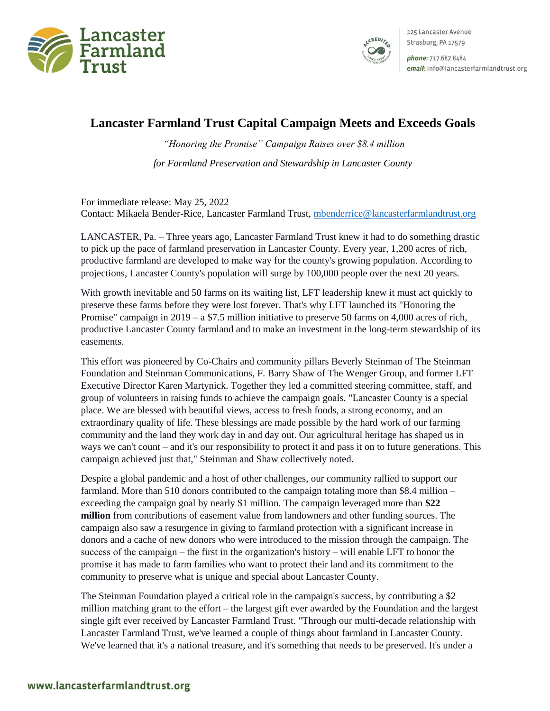



125 Lancaster Avenue Strasburg, PA 17579

phone: 717.687.8484 email: info@lancasterfarmlandtrust.org

## **Lancaster Farmland Trust Capital Campaign Meets and Exceeds Goals**

*"Honoring the Promise" Campaign Raises over \$8.4 million for Farmland Preservation and Stewardship in Lancaster County* 

For immediate release: May 25, 2022 Contact: Mikaela Bender-Rice, Lancaster Farmland Trust, [mbenderrice@lancasterfarmlandtrust.org](mailto:mbenderrice@lancasterfarmlandtrust.org)

LANCASTER, Pa. – Three years ago, Lancaster Farmland Trust knew it had to do something drastic to pick up the pace of farmland preservation in Lancaster County. Every year, 1,200 acres of rich, productive farmland are developed to make way for the county's growing population. According to projections, Lancaster County's population will surge by 100,000 people over the next 20 years.

With growth inevitable and 50 farms on its waiting list, LFT leadership knew it must act quickly to preserve these farms before they were lost forever. That's why LFT launched its "Honoring the Promise" campaign in  $2019 - a$  \$7.5 million initiative to preserve 50 farms on 4,000 acres of rich, productive Lancaster County farmland and to make an investment in the long-term stewardship of its easements.

This effort was pioneered by Co-Chairs and community pillars Beverly Steinman of The Steinman Foundation and Steinman Communications, F. Barry Shaw of The Wenger Group, and former LFT Executive Director Karen Martynick. Together they led a committed steering committee, staff, and group of volunteers in raising funds to achieve the campaign goals. "Lancaster County is a special place. We are blessed with beautiful views, access to fresh foods, a strong economy, and an extraordinary quality of life. These blessings are made possible by the hard work of our farming community and the land they work day in and day out. Our agricultural heritage has shaped us in ways we can't count – and it's our responsibility to protect it and pass it on to future generations. This campaign achieved just that," Steinman and Shaw collectively noted.

Despite a global pandemic and a host of other challenges, our community rallied to support our farmland. More than 510 donors contributed to the campaign totaling more than \$8.4 million – exceeding the campaign goal by nearly \$1 million. The campaign leveraged more than **\$22 million** from contributions of easement value from landowners and other funding sources. The campaign also saw a resurgence in giving to farmland protection with a significant increase in donors and a cache of new donors who were introduced to the mission through the campaign. The success of the campaign – the first in the organization's history – will enable LFT to honor the promise it has made to farm families who want to protect their land and its commitment to the community to preserve what is unique and special about Lancaster County.

The Steinman Foundation played a critical role in the campaign's success, by contributing a \$2 million matching grant to the effort – the largest gift ever awarded by the Foundation and the largest single gift ever received by Lancaster Farmland Trust. "Through our multi-decade relationship with Lancaster Farmland Trust, we've learned a couple of things about farmland in Lancaster County. We've learned that it's a national treasure, and it's something that needs to be preserved. It's under a